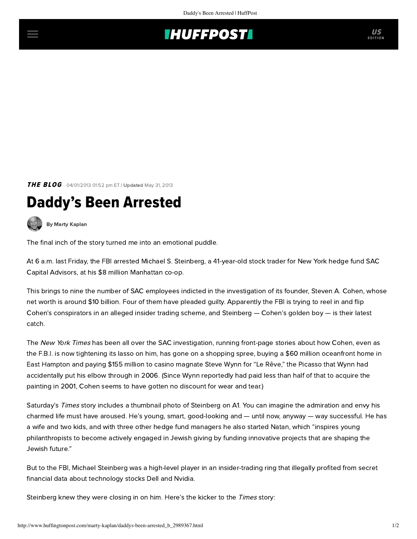## **THUFFPOSTI** US

**THE BLOG** 04/01/2013 01:52 pm ET | Updated May 31, 2013

## Daddy's Been Arrested

[By Marty Kaplan](http://www.huffingtonpost.com/author/marty-kaplan)

The final inch of the story turned me into an emotional puddle.

At 6 a.m. last Friday, the FBI arrested Michael S. Steinberg, a 41-year-old stock trader for New York hedge fund SAC Capital Advisors, at his \$8 million Manhattan co-op.

This brings to nine the number of SAC employees indicted in the investigation of its founder, Steven A. Cohen, whose net worth is around \$10 billion. Four of them have pleaded guilty. Apparently the FBI is trying to reel in and flip Cohen's conspirators in an alleged insider trading scheme, and Steinberg — Cohen's golden boy — is their latest catch.

The New York Times has been all over the SAC investigation, running front-page stories about how Cohen, even as the F.B.I. is now tightening its lasso on him, has gone on a shopping spree, buying a [\\$60 million oceanfront home](http://dealbook.nytimes.com/2013/03/27/hedge-fund-titan-buys-hamptons-property-for-60-million/) in East Hampton and [paying \\$155 million](http://dealbook.nytimes.com/2013/03/26/for-cohen-a-big-art-deal/) to casino magnate Steve Wynn for "Le Rêve," the Picasso that Wynn had accidentally put his elbow through in 2006. (Since Wynn reportedly had paid less than half of that to acquire the painting in 2001, Cohen seems to have gotten no discount for wear and tear.)

[Saturday's](http://dealbook.nytimes.com/2013/03/29/sac-capital-manager-arrested-on-insider-trading-charges/) Times story includes a thumbnail photo of Steinberg on A1. You can imagine the admiration and envy his charmed life must have aroused. He's young, smart, good-looking and — until now, anyway — way successful. He has a wife and two kids, and with three other hedge fund managers he also started [Natan,](http://www.natan.org/) which "inspires young philanthropists to become actively engaged in Jewish giving by funding innovative projects that are shaping the Jewish future."

But to the FBI, Michael Steinberg was a high-level player in an insider-trading ring that illegally profited from secret financial data about technology stocks Dell and Nvidia.

Steinberg knew they were closing in on him. Here's the kicker to the Times story: